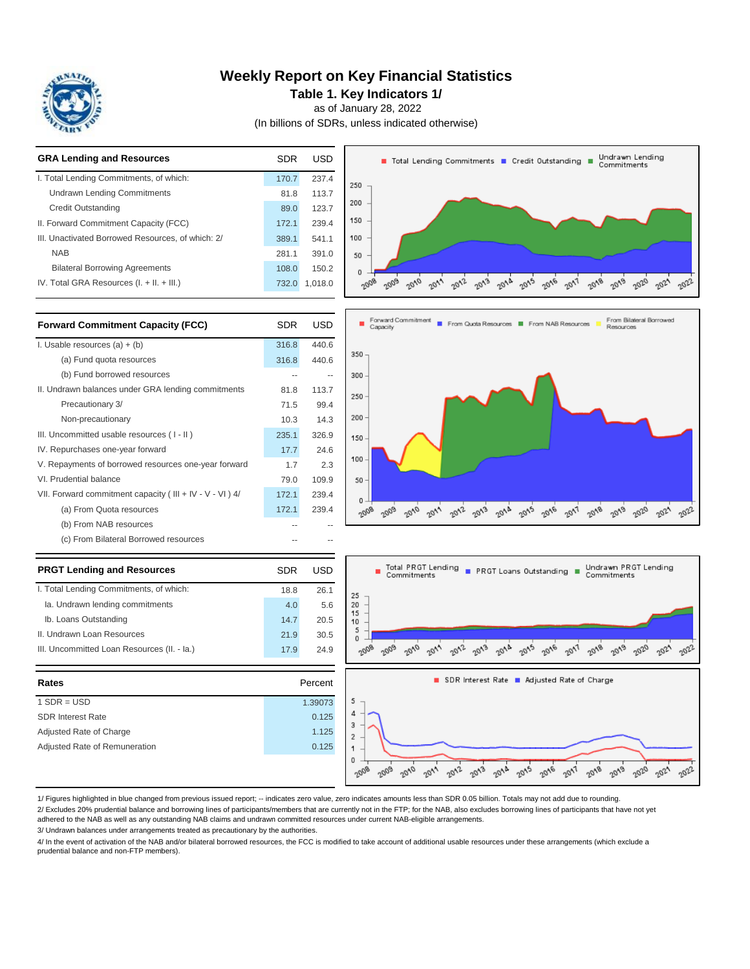

### **Weekly Report on Key Financial Statistics**

**Table 1. Key Indicators 1/**

as of January 28, 2022

(In billions of SDRs, unless indicated otherwise)



| Rates                         | Percent |
|-------------------------------|---------|
| $1$ SDR = USD                 | 1.39073 |
| <b>SDR Interest Rate</b>      | 0.125   |
| Adjusted Rate of Charge       | 1.125   |
| Adjusted Rate of Remuneration | 0.125   |
|                               |         |

1/ Figures highlighted in blue changed from previous issued report; -- indicates zero value, zero indicates amounts less than SDR 0.05 billion. Totals may not add due to rounding.

2/ Excludes 20% prudential balance and borrowing lines of participants/members that are currently not in the FTP; for the NAB, also excludes borrowing lines of participants that have not yet

2008 2009 2010

 $20''$ 

2012

 $\sigma_{\rm V,3}$  $6/2$ 2005 2016

2017

2018 2019 2020 2021 2022

5  $\overline{4}$  $\overline{3}$  $\overline{2}$ 1  $\mathbf{0}$ 

adhered to the NAB as well as any outstanding NAB claims and undrawn committed resources under current NAB-eligible arrangements.

3/ Undrawn balances under arrangements treated as precautionary by the authorities.

4/ In the event of activation of the NAB and/or bilateral borrowed resources, the FCC is modified to take account of additional usable resources under these arrangements (which exclude a prudential balance and non-FTP members).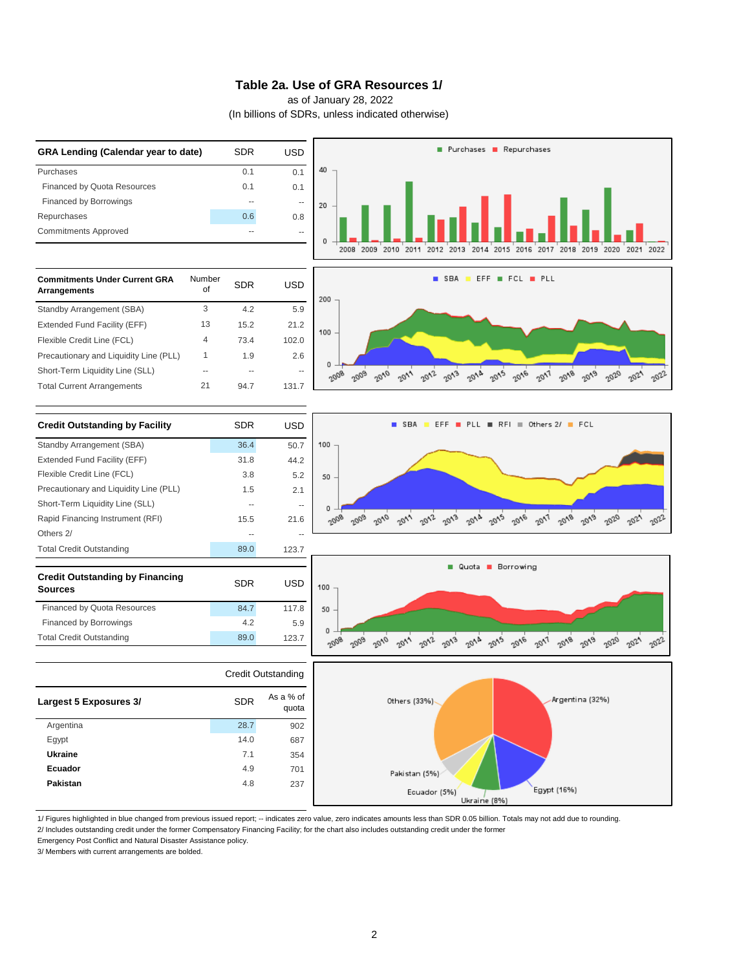### **Table 2a. Use of GRA Resources 1/**

as of January 28, 2022

(In billions of SDRs, unless indicated otherwise)



1/ Figures highlighted in blue changed from previous issued report; -- indicates zero value, zero indicates amounts less than SDR 0.05 billion. Totals may not add due to rounding. 2/ Includes outstanding credit under the former Compensatory Financing Facility; for the chart also includes outstanding credit under the former

Emergency Post Conflict and Natural Disaster Assistance policy.

3/ Members with current arrangements are bolded.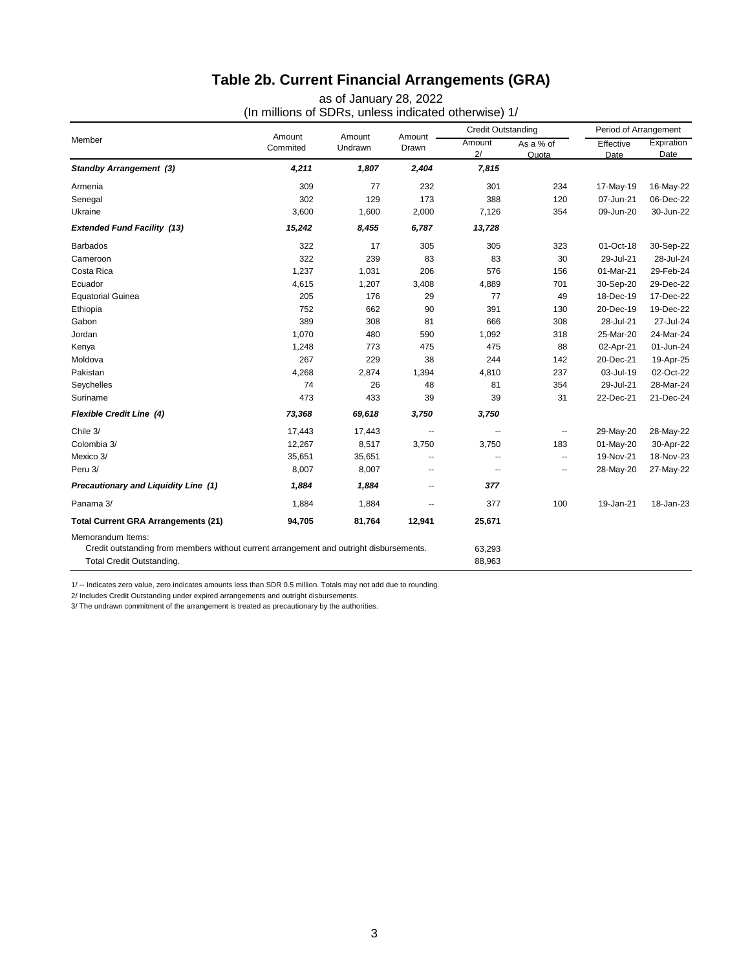# **Table 2b. Current Financial Arrangements (GRA)**

as of January 28, 2022 (In millions of SDRs, unless indicated otherwise) 1/

| Member                                                                                                                                    |                    |                   |                          | <b>Credit Outstanding</b> |                    | Period of Arrangement |                    |
|-------------------------------------------------------------------------------------------------------------------------------------------|--------------------|-------------------|--------------------------|---------------------------|--------------------|-----------------------|--------------------|
|                                                                                                                                           | Amount<br>Commited | Amount<br>Undrawn | Amount<br>Drawn          | Amount<br>2/              | As a % of<br>Quota | Effective<br>Date     | Expiration<br>Date |
| <b>Standby Arrangement (3)</b>                                                                                                            | 4,211              | 1,807             | 2,404                    | 7,815                     |                    |                       |                    |
| Armenia                                                                                                                                   | 309                | 77                | 232                      | 301                       | 234                | 17-May-19             | 16-May-22          |
| Senegal                                                                                                                                   | 302                | 129               | 173                      | 388                       | 120                | 07-Jun-21             | 06-Dec-22          |
| Ukraine                                                                                                                                   | 3,600              | 1,600             | 2,000                    | 7,126                     | 354                | 09-Jun-20             | 30-Jun-22          |
| <b>Extended Fund Facility (13)</b>                                                                                                        | 15,242             | 8,455             | 6,787                    | 13,728                    |                    |                       |                    |
| <b>Barbados</b>                                                                                                                           | 322                | 17                | 305                      | 305                       | 323                | 01-Oct-18             | 30-Sep-22          |
| Cameroon                                                                                                                                  | 322                | 239               | 83                       | 83                        | 30                 | 29-Jul-21             | 28-Jul-24          |
| Costa Rica                                                                                                                                | 1,237              | 1,031             | 206                      | 576                       | 156                | 01-Mar-21             | 29-Feb-24          |
| Ecuador                                                                                                                                   | 4,615              | 1,207             | 3,408                    | 4,889                     | 701                | 30-Sep-20             | 29-Dec-22          |
| <b>Equatorial Guinea</b>                                                                                                                  | 205                | 176               | 29                       | 77                        | 49                 | 18-Dec-19             | 17-Dec-22          |
| Ethiopia                                                                                                                                  | 752                | 662               | 90                       | 391                       | 130                | 20-Dec-19             | 19-Dec-22          |
| Gabon                                                                                                                                     | 389                | 308               | 81                       | 666                       | 308                | 28-Jul-21             | 27-Jul-24          |
| Jordan                                                                                                                                    | 1,070              | 480               | 590                      | 1,092                     | 318                | 25-Mar-20             | 24-Mar-24          |
| Kenya                                                                                                                                     | 1,248              | 773               | 475                      | 475                       | 88                 | 02-Apr-21             | 01-Jun-24          |
| Moldova                                                                                                                                   | 267                | 229               | 38                       | 244                       | 142                | 20-Dec-21             | 19-Apr-25          |
| Pakistan                                                                                                                                  | 4,268              | 2,874             | 1,394                    | 4,810                     | 237                | 03-Jul-19             | 02-Oct-22          |
| Seychelles                                                                                                                                | 74                 | 26                | 48                       | 81                        | 354                | 29-Jul-21             | 28-Mar-24          |
| Suriname                                                                                                                                  | 473                | 433               | 39                       | 39                        | 31                 | 22-Dec-21             | 21-Dec-24          |
| <b>Flexible Credit Line (4)</b>                                                                                                           | 73,368             | 69,618            | 3,750                    | 3,750                     |                    |                       |                    |
| Chile 3/                                                                                                                                  | 17,443             | 17,443            | $\overline{\phantom{a}}$ | $\overline{\phantom{a}}$  | --                 | 29-May-20             | 28-May-22          |
| Colombia 3/                                                                                                                               | 12,267             | 8,517             | 3,750                    | 3,750                     | 183                | 01-May-20             | 30-Apr-22          |
| Mexico 3/                                                                                                                                 | 35,651             | 35,651            | $\overline{a}$           | $\overline{a}$            | $\sim$ $\sim$      | 19-Nov-21             | 18-Nov-23          |
| Peru 3/                                                                                                                                   | 8,007              | 8,007             | --                       | $\overline{a}$            | --                 | 28-May-20             | 27-May-22          |
| Precautionary and Liquidity Line (1)                                                                                                      | 1,884              | 1,884             | $\overline{\phantom{a}}$ | 377                       |                    |                       |                    |
| Panama 3/                                                                                                                                 | 1,884              | 1,884             | --                       | 377                       | 100                | 19-Jan-21             | 18-Jan-23          |
| <b>Total Current GRA Arrangements (21)</b>                                                                                                | 94,705             | 81,764            | 12,941                   | 25,671                    |                    |                       |                    |
| Memorandum Items:<br>Credit outstanding from members without current arrangement and outright disbursements.<br>Total Credit Outstanding. |                    |                   |                          | 63,293<br>88,963          |                    |                       |                    |

1/ -- Indicates zero value, zero indicates amounts less than SDR 0.5 million. Totals may not add due to rounding.

2/ Includes Credit Outstanding under expired arrangements and outright disbursements.

3/ The undrawn commitment of the arrangement is treated as precautionary by the authorities.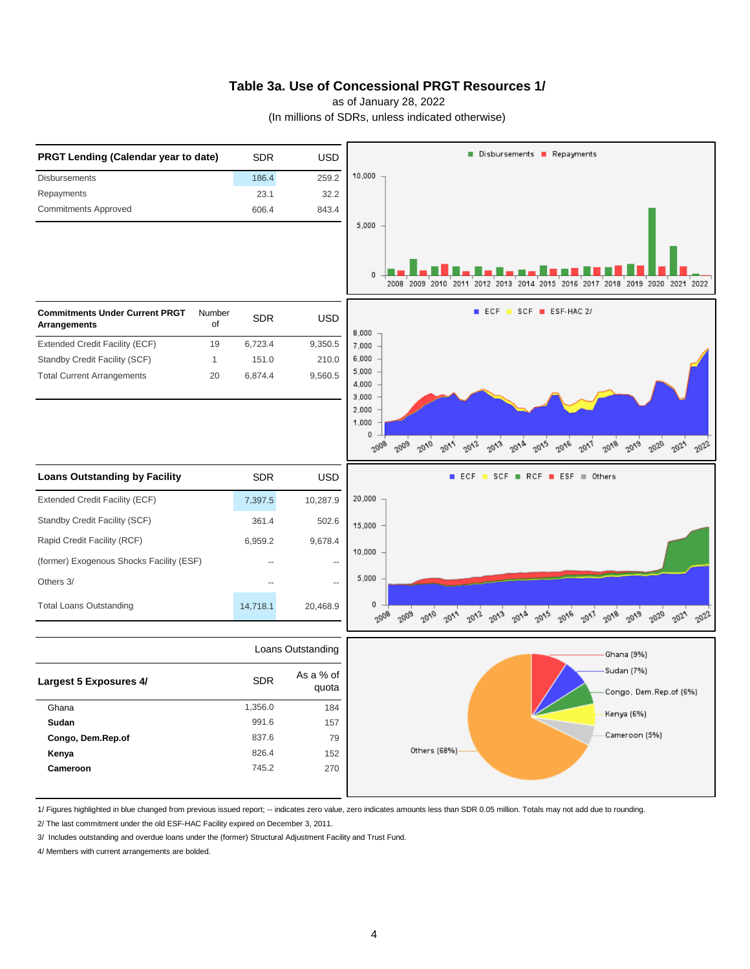### **Table 3a. Use of Concessional PRGT Resources 1/**

as of January 28, 2022

(In millions of SDRs, unless indicated otherwise)



1/ Figures highlighted in blue changed from previous issued report; -- indicates zero value, zero indicates amounts less than SDR 0.05 million. Totals may not add due to rounding.

2/ The last commitment under the old ESF-HAC Facility expired on December 3, 2011.

3/ Includes outstanding and overdue loans under the (former) Structural Adjustment Facility and Trust Fund.

4/ Members with current arrangements are bolded.